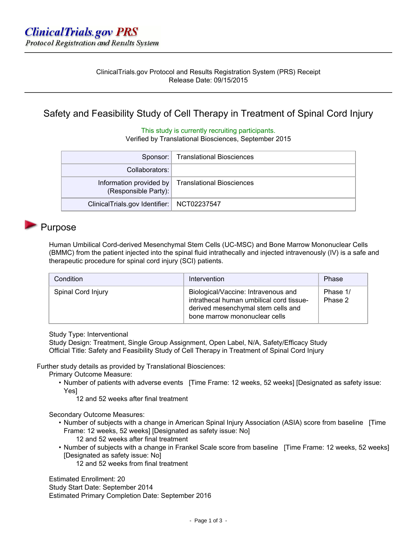# Safety and Feasibility Study of Cell Therapy in Treatment of Spinal Cord Injury

### This study is currently recruiting participants.

Verified by Translational Biosciences, September 2015

|                                              | Sponsor:   Translational Biosciences              |
|----------------------------------------------|---------------------------------------------------|
| Collaborators:                               |                                                   |
| (Responsible Party):                         | Information provided by Translational Biosciences |
| ClinicalTrials.gov Identifier:   NCT02237547 |                                                   |

## Purpose

Human Umbilical Cord-derived Mesenchymal Stem Cells (UC-MSC) and Bone Marrow Mononuclear Cells (BMMC) from the patient injected into the spinal fluid intrathecally and injected intravenously (IV) is a safe and therapeutic procedure for spinal cord injury (SCI) patients.

| Condition          | Intervention                                                                                                                                           | Phase               |
|--------------------|--------------------------------------------------------------------------------------------------------------------------------------------------------|---------------------|
| Spinal Cord Injury | Biological/Vaccine: Intravenous and<br>intrathecal human umbilical cord tissue-<br>derived mesenchymal stem cells and<br>bone marrow mononuclear cells | Phase 1/<br>Phase 2 |

Study Type: Interventional

Study Design: Treatment, Single Group Assignment, Open Label, N/A, Safety/Efficacy Study Official Title: Safety and Feasibility Study of Cell Therapy in Treatment of Spinal Cord Injury

Further study details as provided by Translational Biosciences:

Primary Outcome Measure:

- Number of patients with adverse events [Time Frame: 12 weeks, 52 weeks] [Designated as safety issue: Yes]
	- 12 and 52 weeks after final treatment

Secondary Outcome Measures:

- Number of subjects with a change in American Spinal Injury Association (ASIA) score from baseline [Time Frame: 12 weeks, 52 weeks] [Designated as safety issue: No] 12 and 52 weeks after final treatment
- Number of subjects with a change in Frankel Scale score from baseline [Time Frame: 12 weeks, 52 weeks] [Designated as safety issue: No]
	- 12 and 52 weeks from final treatment

Estimated Enrollment: 20 Study Start Date: September 2014

Estimated Primary Completion Date: September 2016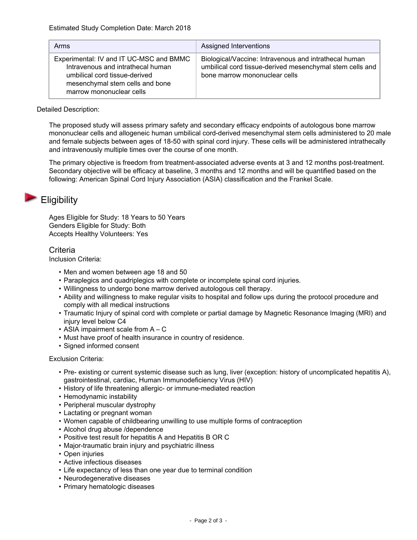| Arms                                                                                                                                                                         | Assigned Interventions                                                                                                                             |
|------------------------------------------------------------------------------------------------------------------------------------------------------------------------------|----------------------------------------------------------------------------------------------------------------------------------------------------|
| Experimental: IV and IT UC-MSC and BMMC<br>Intravenous and intrathecal human<br>umbilical cord tissue-derived<br>mesenchymal stem cells and bone<br>marrow mononuclear cells | Biological/Vaccine: Intravenous and intrathecal human<br>umbilical cord tissue-derived mesenchymal stem cells and<br>bone marrow mononuclear cells |

### Detailed Description:

The proposed study will assess primary safety and secondary efficacy endpoints of autologous bone marrow mononuclear cells and allogeneic human umbilical cord-derived mesenchymal stem cells administered to 20 male and female subjects between ages of 18-50 with spinal cord injury. These cells will be administered intrathecally and intravenously multiple times over the course of one month.

The primary objective is freedom from treatment-associated adverse events at 3 and 12 months post-treatment. Secondary objective will be efficacy at baseline, 3 months and 12 months and will be quantified based on the following: American Spinal Cord Injury Association (ASIA) classification and the Frankel Scale.

## **Eligibility**

Ages Eligible for Study: 18 Years to 50 Years Genders Eligible for Study: Both Accepts Healthy Volunteers: Yes

### Criteria

Inclusion Criteria:

- Men and women between age 18 and 50
- Paraplegics and quadriplegics with complete or incomplete spinal cord injuries.
- Willingness to undergo bone marrow derived autologous cell therapy.
- Ability and willingness to make regular visits to hospital and follow ups during the protocol procedure and comply with all medical instructions
- Traumatic Injury of spinal cord with complete or partial damage by Magnetic Resonance Imaging (MRI) and injury level below C4
- ASIA impairment scale from A C
- Must have proof of health insurance in country of residence.
- Signed informed consent

### Exclusion Criteria:

- Pre- existing or current systemic disease such as lung, liver (exception: history of uncomplicated hepatitis A), gastrointestinal, cardiac, Human Immunodeficiency Virus (HIV)
- History of life threatening allergic- or immune-mediated reaction
- Hemodynamic instability
- Peripheral muscular dystrophy
- Lactating or pregnant woman
- Women capable of childbearing unwilling to use multiple forms of contraception
- Alcohol drug abuse /dependence
- Positive test result for hepatitis A and Hepatitis B OR C
- Major-traumatic brain injury and psychiatric illness
- Open injuries
- Active infectious diseases
- Life expectancy of less than one year due to terminal condition
- Neurodegenerative diseases
- Primary hematologic diseases